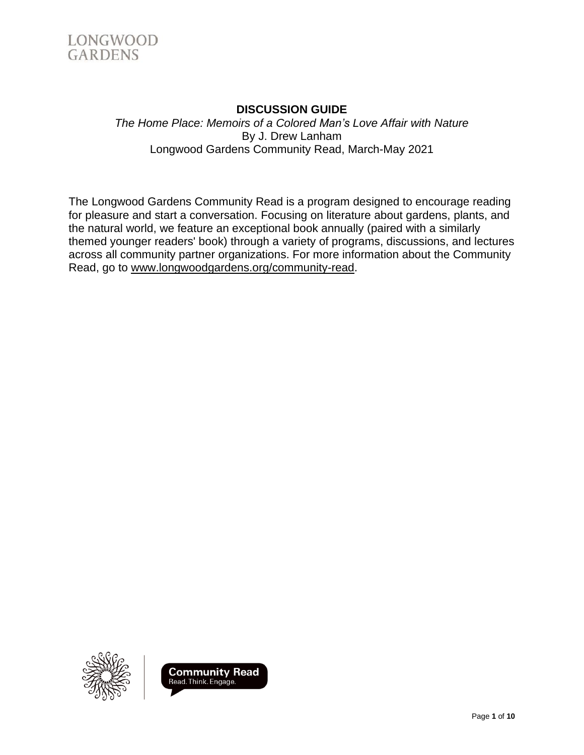

## **DISCUSSION GUIDE** *The Home Place: Memoirs of a Colored Man's Love Affair with Nature* By J. Drew Lanham Longwood Gardens Community Read, March-May 2021

The Longwood Gardens Community Read is a program designed to encourage reading for pleasure and start a conversation. Focusing on literature about gardens, plants, and the natural world, we feature an exceptional book annually (paired with a similarly themed younger readers' book) through a variety of programs, discussions, and lectures across all community partner organizations. For more information about the Community Read, go to [www.longwoodgardens.org/community-read.](http://www.longwoodgardens.org/community-read)



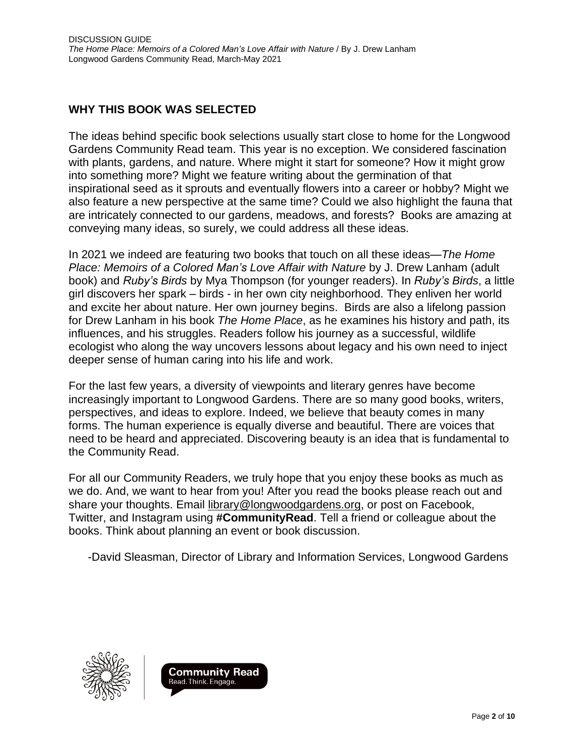## **WHY THIS BOOK WAS SELECTED**

The ideas behind specific book selections usually start close to home for the Longwood Gardens Community Read team. This year is no exception. We considered fascination with plants, gardens, and nature. Where might it start for someone? How it might grow into something more? Might we feature writing about the germination of that inspirational seed as it sprouts and eventually flowers into a career or hobby? Might we also feature a new perspective at the same time? Could we also highlight the fauna that are intricately connected to our gardens, meadows, and forests? Books are amazing at conveying many ideas, so surely, we could address all these ideas.

In 2021 we indeed are featuring two books that touch on all these ideas—*The Home Place: Memoirs of a Colored Man's Love Affair with Nature* by J. Drew Lanham (adult book) and *Ruby's Birds* by Mya Thompson (for younger readers). In *Ruby's Birds*, a little girl discovers her spark – birds - in her own city neighborhood. They enliven her world and excite her about nature. Her own journey begins. Birds are also a lifelong passion for Drew Lanham in his book *The Home Place*, as he examines his history and path, its influences, and his struggles. Readers follow his journey as a successful, wildlife ecologist who along the way uncovers lessons about legacy and his own need to inject deeper sense of human caring into his life and work.

For the last few years, a diversity of viewpoints and literary genres have become increasingly important to Longwood Gardens. There are so many good books, writers, perspectives, and ideas to explore. Indeed, we believe that beauty comes in many forms. The human experience is equally diverse and beautiful. There are voices that need to be heard and appreciated. Discovering beauty is an idea that is fundamental to the Community Read.

For all our Community Readers, we truly hope that you enjoy these books as much as we do. And, we want to hear from you! After you read the books please reach out and share your thoughts. Email [library@longwoodgardens.org,](mailto:library@longwoodgardens.org) or post on Facebook, Twitter, and Instagram using **#CommunityRead**. Tell a friend or colleague about the books. Think about planning an event or book discussion.

-David Sleasman, Director of Library and Information Services, Longwood Gardens



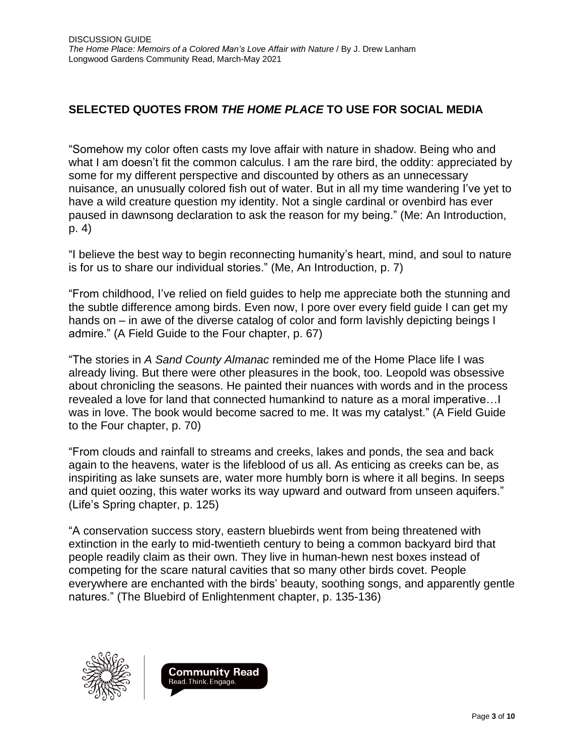# **SELECTED QUOTES FROM** *THE HOME PLACE* **TO USE FOR SOCIAL MEDIA**

"Somehow my color often casts my love affair with nature in shadow. Being who and what I am doesn't fit the common calculus. I am the rare bird, the oddity: appreciated by some for my different perspective and discounted by others as an unnecessary nuisance, an unusually colored fish out of water. But in all my time wandering I've yet to have a wild creature question my identity. Not a single cardinal or ovenbird has ever paused in dawnsong declaration to ask the reason for my being." (Me: An Introduction, p. 4)

"I believe the best way to begin reconnecting humanity's heart, mind, and soul to nature is for us to share our individual stories." (Me, An Introduction, p. 7)

"From childhood, I've relied on field guides to help me appreciate both the stunning and the subtle difference among birds. Even now, I pore over every field guide I can get my hands on – in awe of the diverse catalog of color and form lavishly depicting beings I admire." (A Field Guide to the Four chapter, p. 67)

"The stories in *A Sand County Almanac* reminded me of the Home Place life I was already living. But there were other pleasures in the book, too. Leopold was obsessive about chronicling the seasons. He painted their nuances with words and in the process revealed a love for land that connected humankind to nature as a moral imperative…I was in love. The book would become sacred to me. It was my catalyst." (A Field Guide to the Four chapter, p. 70)

"From clouds and rainfall to streams and creeks, lakes and ponds, the sea and back again to the heavens, water is the lifeblood of us all. As enticing as creeks can be, as inspiriting as lake sunsets are, water more humbly born is where it all begins. In seeps and quiet oozing, this water works its way upward and outward from unseen aquifers." (Life's Spring chapter, p. 125)

"A conservation success story, eastern bluebirds went from being threatened with extinction in the early to mid-twentieth century to being a common backyard bird that people readily claim as their own. They live in human-hewn nest boxes instead of competing for the scare natural cavities that so many other birds covet. People everywhere are enchanted with the birds' beauty, soothing songs, and apparently gentle natures." (The Bluebird of Enlightenment chapter, p. 135-136)



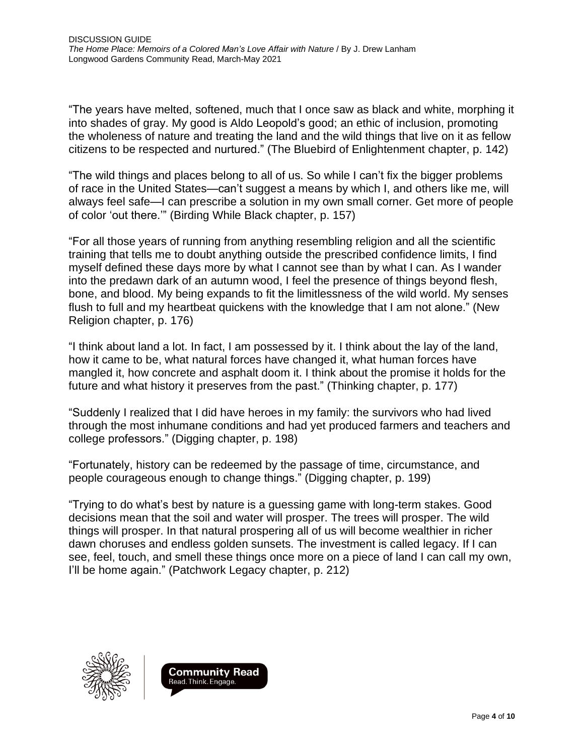"The years have melted, softened, much that I once saw as black and white, morphing it into shades of gray. My good is Aldo Leopold's good; an ethic of inclusion, promoting the wholeness of nature and treating the land and the wild things that live on it as fellow citizens to be respected and nurtured." (The Bluebird of Enlightenment chapter, p. 142)

"The wild things and places belong to all of us. So while I can't fix the bigger problems of race in the United States—can't suggest a means by which I, and others like me, will always feel safe—I can prescribe a solution in my own small corner. Get more of people of color 'out there.'" (Birding While Black chapter, p. 157)

"For all those years of running from anything resembling religion and all the scientific training that tells me to doubt anything outside the prescribed confidence limits, I find myself defined these days more by what I cannot see than by what I can. As I wander into the predawn dark of an autumn wood, I feel the presence of things beyond flesh, bone, and blood. My being expands to fit the limitlessness of the wild world. My senses flush to full and my heartbeat quickens with the knowledge that I am not alone." (New Religion chapter, p. 176)

"I think about land a lot. In fact, I am possessed by it. I think about the lay of the land, how it came to be, what natural forces have changed it, what human forces have mangled it, how concrete and asphalt doom it. I think about the promise it holds for the future and what history it preserves from the past." (Thinking chapter, p. 177)

"Suddenly I realized that I did have heroes in my family: the survivors who had lived through the most inhumane conditions and had yet produced farmers and teachers and college professors." (Digging chapter, p. 198)

"Fortunately, history can be redeemed by the passage of time, circumstance, and people courageous enough to change things." (Digging chapter, p. 199)

"Trying to do what's best by nature is a guessing game with long-term stakes. Good decisions mean that the soil and water will prosper. The trees will prosper. The wild things will prosper. In that natural prospering all of us will become wealthier in richer dawn choruses and endless golden sunsets. The investment is called legacy. If I can see, feel, touch, and smell these things once more on a piece of land I can call my own, I'll be home again." (Patchwork Legacy chapter, p. 212)



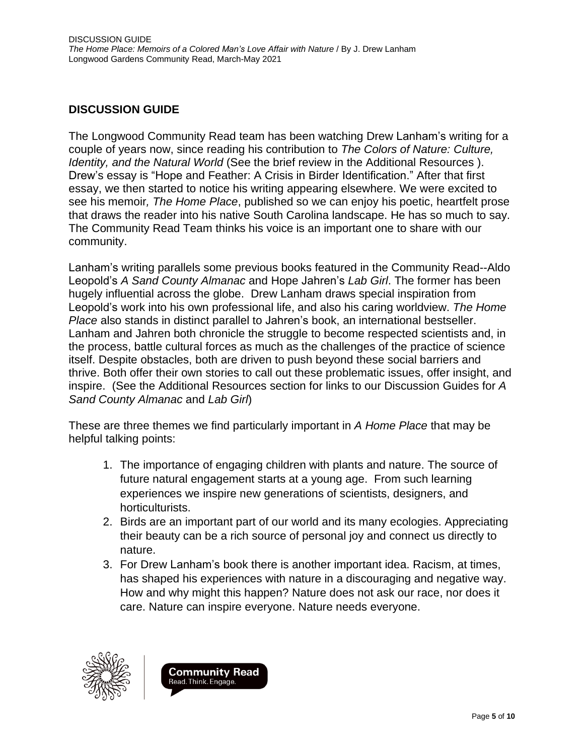## **DISCUSSION GUIDE**

The Longwood Community Read team has been watching Drew Lanham's writing for a couple of years now, since reading his contribution to *The Colors of Nature: Culture, Identity, and the Natural World* (See the brief review in the Additional Resources ). Drew's essay is "Hope and Feather: A Crisis in Birder Identification." After that first essay, we then started to notice his writing appearing elsewhere. We were excited to see his memoir*, The Home Place*, published so we can enjoy his poetic, heartfelt prose that draws the reader into his native South Carolina landscape. He has so much to say. The Community Read Team thinks his voice is an important one to share with our community.

Lanham's writing parallels some previous books featured in the Community Read--Aldo Leopold's *A Sand County Almanac* and Hope Jahren's *Lab Girl*. The former has been hugely influential across the globe. Drew Lanham draws special inspiration from Leopold's work into his own professional life, and also his caring worldview. *The Home Place* also stands in distinct parallel to Jahren's book, an international bestseller. Lanham and Jahren both chronicle the struggle to become respected scientists and, in the process, battle cultural forces as much as the challenges of the practice of science itself. Despite obstacles, both are driven to push beyond these social barriers and thrive. Both offer their own stories to call out these problematic issues, offer insight, and inspire. (See the Additional Resources section for links to our Discussion Guides for *A Sand County Almanac* and *Lab Girl*)

These are three themes we find particularly important in *A Home Place* that may be helpful talking points:

- 1. The importance of engaging children with plants and nature. The source of future natural engagement starts at a young age. From such learning experiences we inspire new generations of scientists, designers, and horticulturists.
- 2. Birds are an important part of our world and its many ecologies. Appreciating their beauty can be a rich source of personal joy and connect us directly to nature.
- 3. For Drew Lanham's book there is another important idea. Racism, at times, has shaped his experiences with nature in a discouraging and negative way. How and why might this happen? Nature does not ask our race, nor does it care. Nature can inspire everyone. Nature needs everyone.



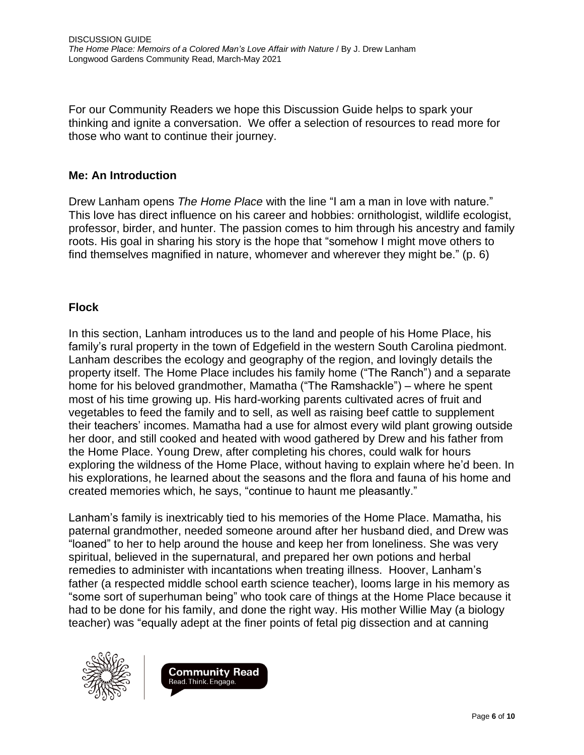For our Community Readers we hope this Discussion Guide helps to spark your thinking and ignite a conversation. We offer a selection of resources to read more for those who want to continue their journey.

#### **Me: An Introduction**

Drew Lanham opens *The Home Place* with the line "I am a man in love with nature." This love has direct influence on his career and hobbies: ornithologist, wildlife ecologist, professor, birder, and hunter. The passion comes to him through his ancestry and family roots. His goal in sharing his story is the hope that "somehow I might move others to find themselves magnified in nature, whomever and wherever they might be." (p. 6)

### **Flock**

In this section, Lanham introduces us to the land and people of his Home Place, his family's rural property in the town of Edgefield in the western South Carolina piedmont. Lanham describes the ecology and geography of the region, and lovingly details the property itself. The Home Place includes his family home ("The Ranch") and a separate home for his beloved grandmother, Mamatha ("The Ramshackle") – where he spent most of his time growing up. His hard-working parents cultivated acres of fruit and vegetables to feed the family and to sell, as well as raising beef cattle to supplement their teachers' incomes. Mamatha had a use for almost every wild plant growing outside her door, and still cooked and heated with wood gathered by Drew and his father from the Home Place. Young Drew, after completing his chores, could walk for hours exploring the wildness of the Home Place, without having to explain where he'd been. In his explorations, he learned about the seasons and the flora and fauna of his home and created memories which, he says, "continue to haunt me pleasantly."

Lanham's family is inextricably tied to his memories of the Home Place. Mamatha, his paternal grandmother, needed someone around after her husband died, and Drew was "loaned" to her to help around the house and keep her from loneliness. She was very spiritual, believed in the supernatural, and prepared her own potions and herbal remedies to administer with incantations when treating illness. Hoover, Lanham's father (a respected middle school earth science teacher), looms large in his memory as "some sort of superhuman being" who took care of things at the Home Place because it had to be done for his family, and done the right way. His mother Willie May (a biology teacher) was "equally adept at the finer points of fetal pig dissection and at canning



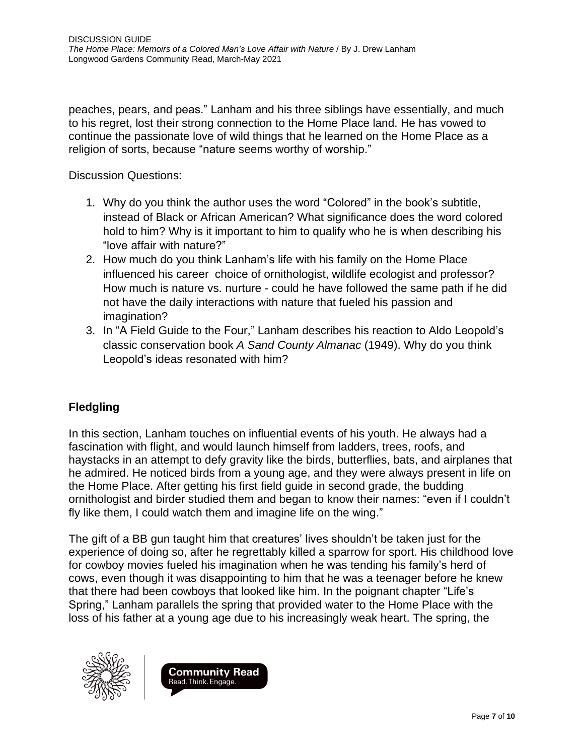peaches, pears, and peas." Lanham and his three siblings have essentially, and much to his regret, lost their strong connection to the Home Place land. He has vowed to continue the passionate love of wild things that he learned on the Home Place as a religion of sorts, because "nature seems worthy of worship."

Discussion Questions:

- 1. Why do you think the author uses the word "Colored" in the book's subtitle, instead of Black or African American? What significance does the word colored hold to him? Why is it important to him to qualify who he is when describing his "love affair with nature?"
- 2. How much do you think Lanham's life with his family on the Home Place influenced his career choice of ornithologist, wildlife ecologist and professor? How much is nature vs. nurture - could he have followed the same path if he did not have the daily interactions with nature that fueled his passion and imagination?
- 3. In "A Field Guide to the Four," Lanham describes his reaction to Aldo Leopold's classic conservation book *A Sand County Almanac* (1949). Why do you think Leopold's ideas resonated with him?

# **Fledgling**

In this section, Lanham touches on influential events of his youth. He always had a fascination with flight, and would launch himself from ladders, trees, roofs, and haystacks in an attempt to defy gravity like the birds, butterflies, bats, and airplanes that he admired. He noticed birds from a young age, and they were always present in life on the Home Place. After getting his first field guide in second grade, the budding ornithologist and birder studied them and began to know their names: "even if I couldn't fly like them, I could watch them and imagine life on the wing."

The gift of a BB gun taught him that creatures' lives shouldn't be taken just for the experience of doing so, after he regrettably killed a sparrow for sport. His childhood love for cowboy movies fueled his imagination when he was tending his family's herd of cows, even though it was disappointing to him that he was a teenager before he knew that there had been cowboys that looked like him. In the poignant chapter "Life's Spring," Lanham parallels the spring that provided water to the Home Place with the loss of his father at a young age due to his increasingly weak heart. The spring, the



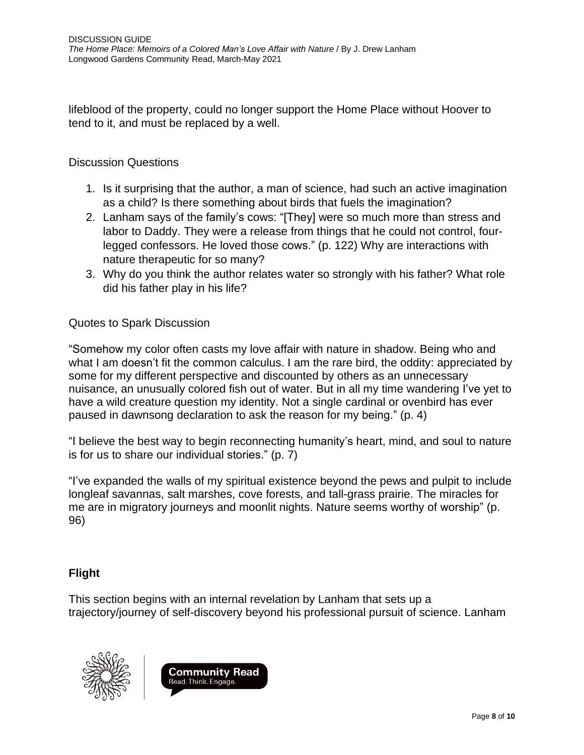lifeblood of the property, could no longer support the Home Place without Hoover to tend to it, and must be replaced by a well.

### Discussion Questions

- 1. Is it surprising that the author, a man of science, had such an active imagination as a child? Is there something about birds that fuels the imagination?
- 2. Lanham says of the family's cows: "[They] were so much more than stress and labor to Daddy. They were a release from things that he could not control, fourlegged confessors. He loved those cows." (p. 122) Why are interactions with nature therapeutic for so many?
- 3. Why do you think the author relates water so strongly with his father? What role did his father play in his life?

## Quotes to Spark Discussion

"Somehow my color often casts my love affair with nature in shadow. Being who and what I am doesn't fit the common calculus. I am the rare bird, the oddity: appreciated by some for my different perspective and discounted by others as an unnecessary nuisance, an unusually colored fish out of water. But in all my time wandering I've yet to have a wild creature question my identity. Not a single cardinal or ovenbird has ever paused in dawnsong declaration to ask the reason for my being." (p. 4)

"I believe the best way to begin reconnecting humanity's heart, mind, and soul to nature is for us to share our individual stories." (p. 7)

"I've expanded the walls of my spiritual existence beyond the pews and pulpit to include longleaf savannas, salt marshes, cove forests, and tall-grass prairie. The miracles for me are in migratory journeys and moonlit nights. Nature seems worthy of worship" (p. 96)

# **Flight**

This section begins with an internal revelation by Lanham that sets up a trajectory/journey of self-discovery beyond his professional pursuit of science. Lanham



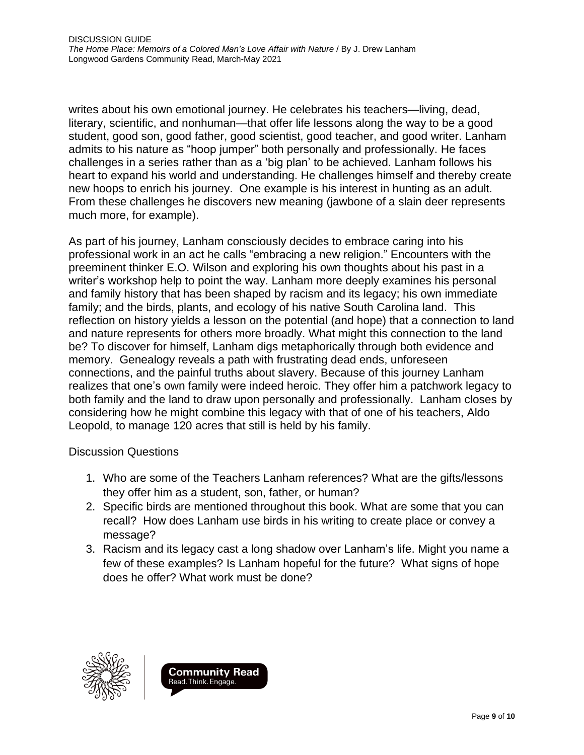writes about his own emotional journey. He celebrates his teachers—living, dead, literary, scientific, and nonhuman—that offer life lessons along the way to be a good student, good son, good father, good scientist, good teacher, and good writer. Lanham admits to his nature as "hoop jumper" both personally and professionally. He faces challenges in a series rather than as a 'big plan' to be achieved. Lanham follows his heart to expand his world and understanding. He challenges himself and thereby create new hoops to enrich his journey. One example is his interest in hunting as an adult. From these challenges he discovers new meaning (jawbone of a slain deer represents much more, for example).

As part of his journey, Lanham consciously decides to embrace caring into his professional work in an act he calls "embracing a new religion." Encounters with the preeminent thinker E.O. Wilson and exploring his own thoughts about his past in a writer's workshop help to point the way. Lanham more deeply examines his personal and family history that has been shaped by racism and its legacy; his own immediate family; and the birds, plants, and ecology of his native South Carolina land. This reflection on history yields a lesson on the potential (and hope) that a connection to land and nature represents for others more broadly. What might this connection to the land be? To discover for himself, Lanham digs metaphorically through both evidence and memory. Genealogy reveals a path with frustrating dead ends, unforeseen connections, and the painful truths about slavery. Because of this journey Lanham realizes that one's own family were indeed heroic. They offer him a patchwork legacy to both family and the land to draw upon personally and professionally. Lanham closes by considering how he might combine this legacy with that of one of his teachers, Aldo Leopold, to manage 120 acres that still is held by his family.

### Discussion Questions

- 1. Who are some of the Teachers Lanham references? What are the gifts/lessons they offer him as a student, son, father, or human?
- 2. Specific birds are mentioned throughout this book. What are some that you can recall? How does Lanham use birds in his writing to create place or convey a message?
- 3. Racism and its legacy cast a long shadow over Lanham's life. Might you name a few of these examples? Is Lanham hopeful for the future? What signs of hope does he offer? What work must be done?